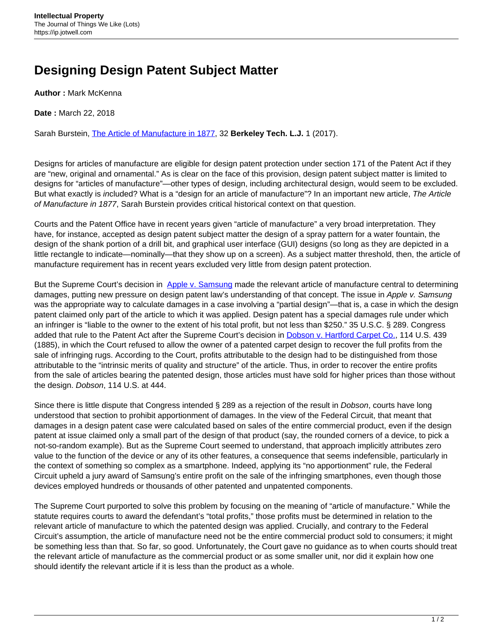## **Designing Design Patent Subject Matter**

**Author :** Mark McKenna

**Date :** March 22, 2018

Sarah Burstein, [The Article of Manufacture in 1877](http://btlj.org/data/articles2017/vol32/32_1/burstein_web.pdf), 32 **Berkeley Tech. L.J.** 1 (2017).

Designs for articles of manufacture are eligible for design patent protection under section 171 of the Patent Act if they are "new, original and ornamental." As is clear on the face of this provision, design patent subject matter is limited to designs for "articles of manufacture"—other types of design, including architectural design, would seem to be excluded. But what exactly is included? What is a "design for an article of manufacture"? In an important new article, The Article of Manufacture in 1877, Sarah Burstein provides critical historical context on that question.

Courts and the Patent Office have in recent years given "article of manufacture" a very broad interpretation. They have, for instance, accepted as design patent subject matter the design of a spray pattern for a water fountain, the design of the shank portion of a drill bit, and graphical user interface (GUI) designs (so long as they are depicted in a little rectangle to indicate—nominally—that they show up on a screen). As a subject matter threshold, then, the article of manufacture requirement has in recent years excluded very little from design patent protection.

But the Supreme Court's decision in [Apple v. Samsung](https://www.supremecourt.gov/opinions/16pdf/15-777_7lho.pdf) made the relevant article of manufacture central to determining damages, putting new pressure on design patent law's understanding of that concept. The issue in Apple v. Samsung was the appropriate way to calculate damages in a case involving a "partial design"—that is, a case in which the design patent claimed only part of the article to which it was applied. Design patent has a special damages rule under which an infringer is "liable to the owner to the extent of his total profit, but not less than \$250." 35 U.S.C. § 289. Congress added that rule to the Patent Act after the Supreme Court's decision in [Dobson v. Hartford Carpet Co.](https://supreme.justia.com/cases/federal/us/114/439/), 114 U.S. 439 (1885), in which the Court refused to allow the owner of a patented carpet design to recover the full profits from the sale of infringing rugs. According to the Court, profits attributable to the design had to be distinguished from those attributable to the "intrinsic merits of quality and structure" of the article. Thus, in order to recover the entire profits from the sale of articles bearing the patented design, those articles must have sold for higher prices than those without the design. Dobson, 114 U.S. at 444.

Since there is little dispute that Congress intended § 289 as a rejection of the result in *Dobson*, courts have long understood that section to prohibit apportionment of damages. In the view of the Federal Circuit, that meant that damages in a design patent case were calculated based on sales of the entire commercial product, even if the design patent at issue claimed only a small part of the design of that product (say, the rounded corners of a device, to pick a not-so-random example). But as the Supreme Court seemed to understand, that approach implicitly attributes zero value to the function of the device or any of its other features, a consequence that seems indefensible, particularly in the context of something so complex as a smartphone. Indeed, applying its "no apportionment" rule, the Federal Circuit upheld a jury award of Samsung's entire profit on the sale of the infringing smartphones, even though those devices employed hundreds or thousands of other patented and unpatented components.

The Supreme Court purported to solve this problem by focusing on the meaning of "article of manufacture." While the statute requires courts to award the defendant's "total profits," those profits must be determined in relation to the relevant article of manufacture to which the patented design was applied. Crucially, and contrary to the Federal Circuit's assumption, the article of manufacture need not be the entire commercial product sold to consumers; it might be something less than that. So far, so good. Unfortunately, the Court gave no guidance as to when courts should treat the relevant article of manufacture as the commercial product or as some smaller unit, nor did it explain how one should identify the relevant article if it is less than the product as a whole.